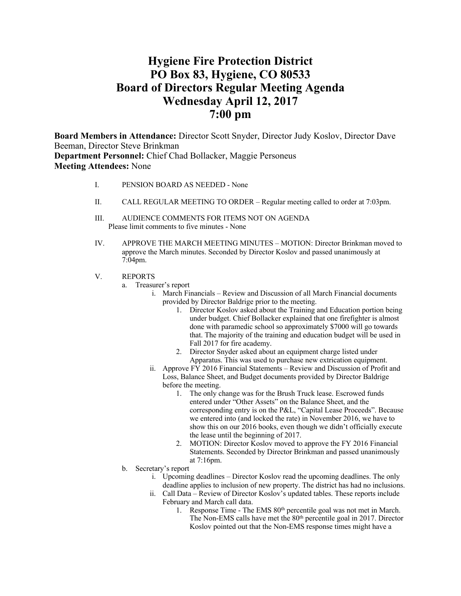# **Hygiene Fire Protection District PO Box 83, Hygiene, CO 80533 Board of Directors Regular Meeting Agenda Wednesday April 12, 2017 7:00 pm**

**Board Members in Attendance:** Director Scott Snyder, Director Judy Koslov, Director Dave Beeman, Director Steve Brinkman **Department Personnel:** Chief Chad Bollacker, Maggie Personeus **Meeting Attendees:** None

- I. PENSION BOARD AS NEEDED None
- II. CALL REGULAR MEETING TO ORDER Regular meeting called to order at 7:03pm.
- III. AUDIENCE COMMENTS FOR ITEMS NOT ON AGENDA Please limit comments to five minutes - None
- IV. APPROVE THE MARCH MEETING MINUTES MOTION: Director Brinkman moved to approve the March minutes. Seconded by Director Koslov and passed unanimously at 7:04pm.
- V. REPORTS
	- a. Treasurer's report
		- i. March Financials Review and Discussion of all March Financial documents provided by Director Baldrige prior to the meeting.
			- 1. Director Koslov asked about the Training and Education portion being under budget. Chief Bollacker explained that one firefighter is almost done with paramedic school so approximately \$7000 will go towards that. The majority of the training and education budget will be used in Fall 2017 for fire academy.
			- 2. Director Snyder asked about an equipment charge listed under Apparatus. This was used to purchase new extrication equipment.
		- ii. Approve FY 2016 Financial Statements Review and Discussion of Profit and Loss, Balance Sheet, and Budget documents provided by Director Baldrige before the meeting.
			- 1. The only change was for the Brush Truck lease. Escrowed funds entered under "Other Assets" on the Balance Sheet, and the corresponding entry is on the P&L, "Capital Lease Proceeds". Because we entered into (and locked the rate) in November 2016, we have to show this on our 2016 books, even though we didn't officially execute the lease until the beginning of 2017.
			- 2. MOTION: Director Koslov moved to approve the FY 2016 Financial Statements. Seconded by Director Brinkman and passed unanimously at 7:16pm.
	- b. Secretary's report
		- i. Upcoming deadlines Director Koslov read the upcoming deadlines. The only deadline applies to inclusion of new property. The district has had no inclusions.
		- ii. Call Data Review of Director Koslov's updated tables. These reports include February and March call data.
			- 1. Response Time The EMS  $80<sup>th</sup>$  percentile goal was not met in March. The Non-EMS calls have met the 80<sup>th</sup> percentile goal in 2017. Director Koslov pointed out that the Non-EMS response times might have a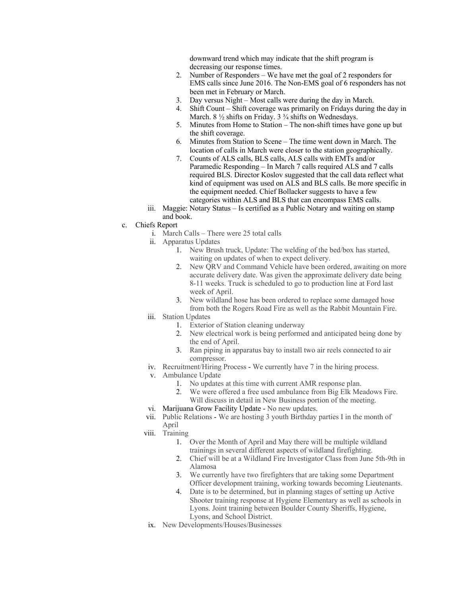downward trend which may indicate that the shift program is decreasing our response times.

- 2. Number of Responders We have met the goal of 2 responders for EMS calls since June 2016. The Non-EMS goal of 6 responders has not been met in February or March.
- 3. Day versus Night Most calls were during the day in March.
- 4. Shift Count Shift coverage was primarily on Fridays during the day in March. 8  $\frac{1}{2}$  shifts on Friday. 3  $\frac{3}{4}$  shifts on Wednesdays.
- 5. Minutes from Home to Station The non-shift times have gone up but the shift coverage.
- 6. Minutes from Station to Scene The time went down in March. The location of calls in March were closer to the station geographically.
- 7. Counts of ALS calls, BLS calls, ALS calls with EMTs and/or Paramedic Responding – In March 7 calls required ALS and 7 calls required BLS. Director Koslov suggested that the call data reflect what kind of equipment was used on ALS and BLS calls. Be more specific in the equipment needed. Chief Bollacker suggests to have a few categories within ALS and BLS that can encompass EMS calls.
- iii. Maggie: Notary Status Is certified as a Public Notary and waiting on stamp and book.
- c. Chiefs Report
	- i. March Calls There were 25 total calls
	- ii. Apparatus Updates
		- 1. New Brush truck, Update: The welding of the bed/box has started, waiting on updates of when to expect delivery.
		- 2. New QRV and Command Vehicle have been ordered, awaiting on more accurate delivery date. Was given the approximate delivery date being 8-11 weeks. Truck is scheduled to go to production line at Ford last week of April.
		- 3. New wildland hose has been ordered to replace some damaged hose from both the Rogers Road Fire as well as the Rabbit Mountain Fire.
	- iii. Station Updates
		- 1. Exterior of Station cleaning underway
		- 2. New electrical work is being performed and anticipated being done by the end of April.
		- 3. Ran piping in apparatus bay to install two air reels connected to air compressor.
	- iv. Recruitment/Hiring Process We currently have 7 in the hiring process.
	- v. Ambulance Update
		- 1. No updates at this time with current AMR response plan.
		- 2. We were offered a free used ambulance from Big Elk Meadows Fire. Will discuss in detail in New Business portion of the meeting.
	- vi. Marijuana Grow Facility Update No new updates.
	- vii. Public Relations We are hosting 3 youth Birthday parties I in the month of April
	- viii. Training
		- 1. Over the Month of April and May there will be multiple wildland trainings in several different aspects of wildland firefighting.
		- 2. Chief will be at a Wildland Fire Investigator Class from June 5th-9th in Alamosa
		- 3. We currently have two firefighters that are taking some Department Officer development training, working towards becoming Lieutenants.
		- 4. Date is to be determined, but in planning stages of setting up Active Shooter training response at Hygiene Elementary as well as schools in Lyons. Joint training between Boulder County Sheriffs, Hygiene, Lyons, and School District.
	- ix. New Developments/Houses/Businesses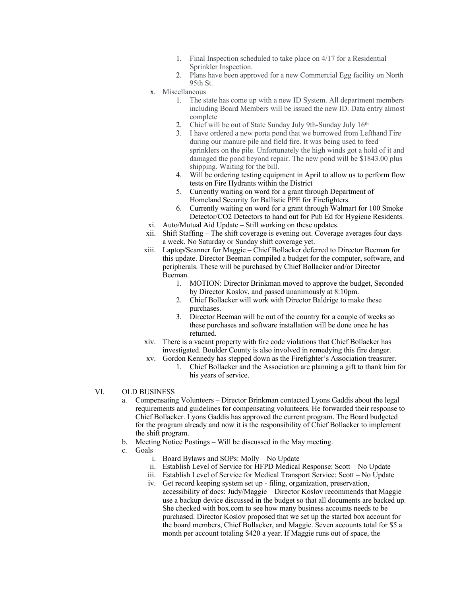- 1. Final Inspection scheduled to take place on 4/17 for a Residential Sprinkler Inspection.
- 2. Plans have been approved for a new Commercial Egg facility on North 95th St.
- x. Miscellaneous
	- 1. The state has come up with a new ID System. All department members including Board Members will be issued the new ID. Data entry almost complete
	- 2. Chief will be out of State Sunday July 9th-Sunday July 16<sup>th</sup>
	- 3. I have ordered a new porta pond that we borrowed from Lefthand Fire during our manure pile and field fire. It was being used to feed sprinklers on the pile. Unfortunately the high winds got a hold of it and damaged the pond beyond repair. The new pond will be \$1843.00 plus shipping. Waiting for the bill.
	- 4. Will be ordering testing equipment in April to allow us to perform flow tests on Fire Hydrants within the District
	- 5. Currently waiting on word for a grant through Department of Homeland Security for Ballistic PPE for Firefighters.
	- 6. Currently waiting on word for a grant through Walmart for 100 Smoke Detector/CO2 Detectors to hand out for Pub Ed for Hygiene Residents.
- xi. Auto/Mutual Aid Update Still working on these updates.
- xii. Shift Staffing The shift coverage is evening out. Coverage averages four days a week. No Saturday or Sunday shift coverage yet.
- xiii. Laptop/Scanner for Maggie Chief Bollacker deferred to Director Beeman for this update. Director Beeman compiled a budget for the computer, software, and peripherals. These will be purchased by Chief Bollacker and/or Director Beeman.
	- 1. MOTION: Director Brinkman moved to approve the budget, Seconded by Director Koslov, and passed unanimously at 8:10pm.
	- 2. Chief Bollacker will work with Director Baldrige to make these purchases.
	- 3. Director Beeman will be out of the country for a couple of weeks so these purchases and software installation will be done once he has returned.
- xiv. There is a vacant property with fire code violations that Chief Bollacker has investigated. Boulder County is also involved in remedying this fire danger.
- xv. Gordon Kennedy has stepped down as the Firefighter's Association treasurer. 1. Chief Bollacker and the Association are planning a gift to thank him for his years of service.
- VI. OLD BUSINESS
	- a. Compensating Volunteers Director Brinkman contacted Lyons Gaddis about the legal requirements and guidelines for compensating volunteers. He forwarded their response to Chief Bollacker. Lyons Gaddis has approved the current program. The Board budgeted for the program already and now it is the responsibility of Chief Bollacker to implement the shift program.
	- b. Meeting Notice Postings Will be discussed in the May meeting.
	- c. Goals
		- i. Board Bylaws and SOPs: Molly No Update
		- ii. Establish Level of Service for HFPD Medical Response: Scott No Update
		- iii. Establish Level of Service for Medical Transport Service: Scott No Update
		- iv. Get record keeping system set up filing, organization, preservation, accessibility of docs: Judy/Maggie – Director Koslov recommends that Maggie use a backup device discussed in the budget so that all documents are backed up. She checked with box.com to see how many business accounts needs to be purchased. Director Koslov proposed that we set up the started box account for the board members, Chief Bollacker, and Maggie. Seven accounts total for \$5 a month per account totaling \$420 a year. If Maggie runs out of space, the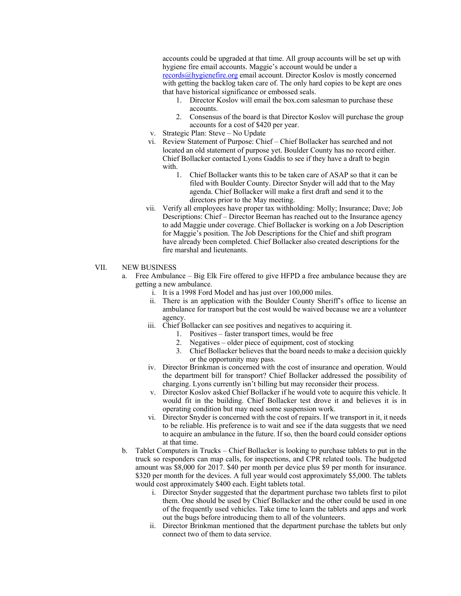accounts could be upgraded at that time. All group accounts will be set up with hygiene fire email accounts. Maggie's account would be under a records@hygienefire.org email account. Director Koslov is mostly concerned with getting the backlog taken care of. The only hard copies to be kept are ones that have historical significance or embossed seals.

- 1. Director Koslov will email the box.com salesman to purchase these accounts.
- 2. Consensus of the board is that Director Koslov will purchase the group accounts for a cost of \$420 per year.
- v. Strategic Plan: Steve No Update
- vi. Review Statement of Purpose: Chief Chief Bollacker has searched and not located an old statement of purpose yet. Boulder County has no record either. Chief Bollacker contacted Lyons Gaddis to see if they have a draft to begin with.
	- 1. Chief Bollacker wants this to be taken care of ASAP so that it can be filed with Boulder County. Director Snyder will add that to the May agenda. Chief Bollacker will make a first draft and send it to the directors prior to the May meeting.
- vii. Verify all employees have proper tax withholding: Molly; Insurance; Dave; Job Descriptions: Chief – Director Beeman has reached out to the Insurance agency to add Maggie under coverage. Chief Bollacker is working on a Job Description for Maggie's position. The Job Descriptions for the Chief and shift program have already been completed. Chief Bollacker also created descriptions for the fire marshal and lieutenants.

### VII. NEW BUSINESS

- a. Free Ambulance Big Elk Fire offered to give HFPD a free ambulance because they are getting a new ambulance.
	- i. It is a 1998 Ford Model and has just over 100,000 miles.
	- ii. There is an application with the Boulder County Sheriff's office to license an ambulance for transport but the cost would be waived because we are a volunteer agency.
	- iii. Chief Bollacker can see positives and negatives to acquiring it.
		- 1. Positives faster transport times, would be free
		- 2. Negatives older piece of equipment, cost of stocking
		- 3. Chief Bollacker believes that the board needs to make a decision quickly or the opportunity may pass.
	- iv. Director Brinkman is concerned with the cost of insurance and operation. Would the department bill for transport? Chief Bollacker addressed the possibility of charging. Lyons currently isn't billing but may reconsider their process.
	- v. Director Koslov asked Chief Bollacker if he would vote to acquire this vehicle. It would fit in the building. Chief Bollacker test drove it and believes it is in operating condition but may need some suspension work.
	- vi. Director Snyder is concerned with the cost of repairs. If we transport in it, it needs to be reliable. His preference is to wait and see if the data suggests that we need to acquire an ambulance in the future. If so, then the board could consider options at that time.
- b. Tablet Computers in Trucks Chief Bollacker is looking to purchase tablets to put in the truck so responders can map calls, for inspections, and CPR related tools. The budgeted amount was \$8,000 for 2017. \$40 per month per device plus \$9 per month for insurance. \$320 per month for the devices. A full year would cost approximately \$5,000. The tablets would cost approximately \$400 each. Eight tablets total.
	- i. Director Snyder suggested that the department purchase two tablets first to pilot them. One should be used by Chief Bollacker and the other could be used in one of the frequently used vehicles. Take time to learn the tablets and apps and work out the bugs before introducing them to all of the volunteers.
	- ii. Director Brinkman mentioned that the department purchase the tablets but only connect two of them to data service.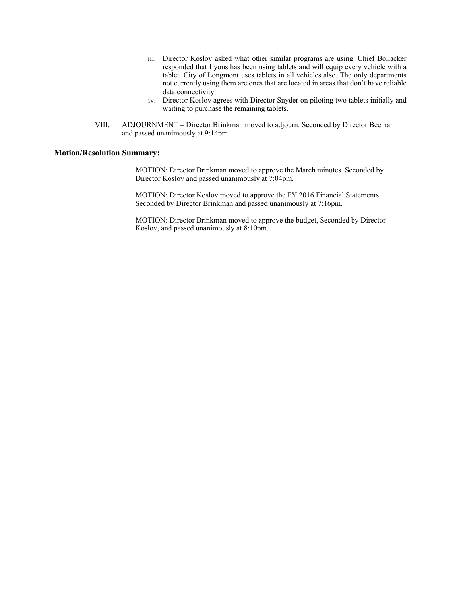- iii. Director Koslov asked what other similar programs are using. Chief Bollacker responded that Lyons has been using tablets and will equip every vehicle with a tablet. City of Longmont uses tablets in all vehicles also. The only departments not currently using them are ones that are located in areas that don't have reliable data connectivity.
- iv. Director Koslov agrees with Director Snyder on piloting two tablets initially and waiting to purchase the remaining tablets.
- VIII. ADJOURNMENT Director Brinkman moved to adjourn. Seconded by Director Beeman and passed unanimously at 9:14pm.

### **Motion/Resolution Summary:**

MOTION: Director Brinkman moved to approve the March minutes. Seconded by Director Koslov and passed unanimously at 7:04pm.

MOTION: Director Koslov moved to approve the FY 2016 Financial Statements. Seconded by Director Brinkman and passed unanimously at 7:16pm.

MOTION: Director Brinkman moved to approve the budget, Seconded by Director Koslov, and passed unanimously at 8:10pm.